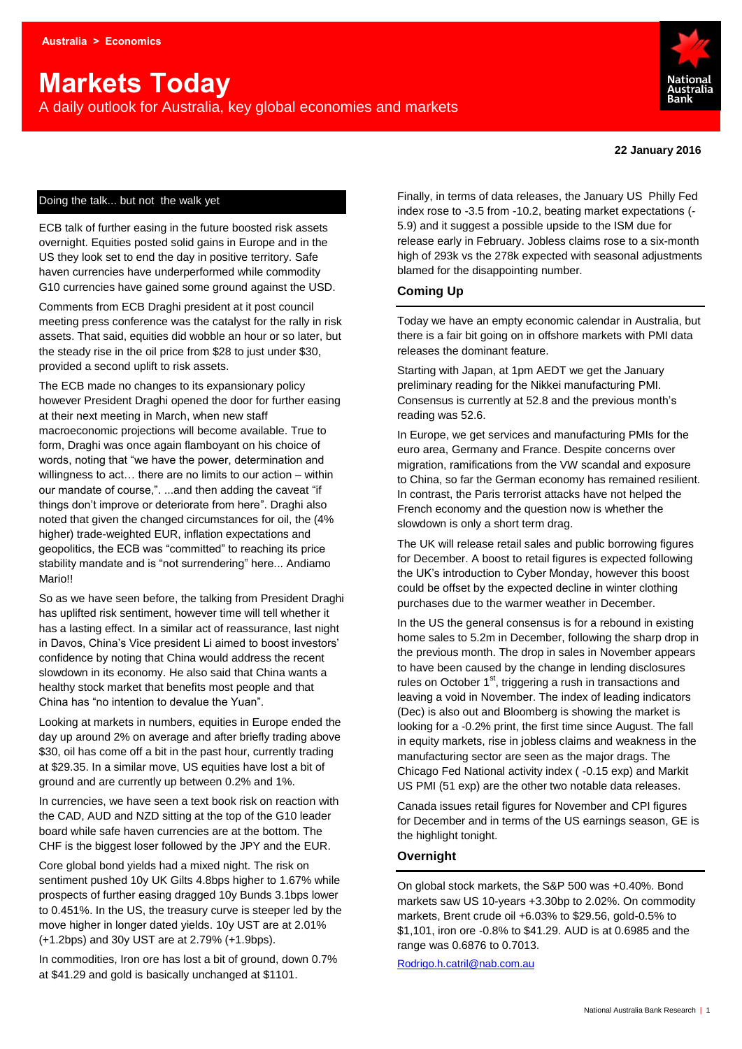# **Markets Today**

A daily outlook for Australia, key global economies and markets



#### **22 January 2016**

#### Doing the talk... but not the walk yet

ECB talk of further easing in the future boosted risk assets overnight. Equities posted solid gains in Europe and in the US they look set to end the day in positive territory. Safe haven currencies have underperformed while commodity G10 currencies have gained some ground against the USD.

Comments from ECB Draghi president at it post council meeting press conference was the catalyst for the rally in risk assets. That said, equities did wobble an hour or so later, but the steady rise in the oil price from \$28 to just under \$30, provided a second uplift to risk assets.

The ECB made no changes to its expansionary policy however President Draghi opened the door for further easing at their next meeting in March, when new staff macroeconomic projections will become available. True to form, Draghi was once again flamboyant on his choice of words, noting that "we have the power, determination and willingness to act… there are no limits to our action – within our mandate of course,". ...and then adding the caveat "if things don't improve or deteriorate from here". Draghi also noted that given the changed circumstances for oil, the (4% higher) trade-weighted EUR, inflation expectations and geopolitics, the ECB was "committed" to reaching its price stability mandate and is "not surrendering" here... Andiamo Mario!!

So as we have seen before, the talking from President Draghi has uplifted risk sentiment, however time will tell whether it has a lasting effect. In a similar act of reassurance, last night in Davos, China's Vice president Li aimed to boost investors' confidence by noting that China would address the recent slowdown in its economy. He also said that China wants a healthy stock market that benefits most people and that China has "no intention to devalue the Yuan".

Looking at markets in numbers, equities in Europe ended the day up around 2% on average and after briefly trading above \$30, oil has come off a bit in the past hour, currently trading at \$29.35. In a similar move, US equities have lost a bit of ground and are currently up between 0.2% and 1%.

In currencies, we have seen a text book risk on reaction with the CAD, AUD and NZD sitting at the top of the G10 leader board while safe haven currencies are at the bottom. The CHF is the biggest loser followed by the JPY and the EUR.

Core global bond yields had a mixed night. The risk on sentiment pushed 10y UK Gilts 4.8bps higher to 1.67% while prospects of further easing dragged 10y Bunds 3.1bps lower to 0.451%. In the US, the treasury curve is steeper led by the move higher in longer dated yields. 10y UST are at 2.01% (+1.2bps) and 30y UST are at 2.79% (+1.9bps).

In commodities, Iron ore has lost a bit of ground, down 0.7% at \$41.29 and gold is basically unchanged at \$1101.

Finally, in terms of data releases, the January US Philly Fed index rose to -3.5 from -10.2, beating market expectations (- 5.9) and it suggest a possible upside to the ISM due for release early in February. Jobless claims rose to a six-month high of 293k vs the 278k expected with seasonal adjustments blamed for the disappointing number.

#### **Coming Up**

Today we have an empty economic calendar in Australia, but there is a fair bit going on in offshore markets with PMI data releases the dominant feature.

Starting with Japan, at 1pm AEDT we get the January preliminary reading for the Nikkei manufacturing PMI. Consensus is currently at 52.8 and the previous month's reading was 52.6.

In Europe, we get services and manufacturing PMIs for the euro area, Germany and France. Despite concerns over migration, ramifications from the VW scandal and exposure to China, so far the German economy has remained resilient. In contrast, the Paris terrorist attacks have not helped the French economy and the question now is whether the slowdown is only a short term drag.

The UK will release retail sales and public borrowing figures for December. A boost to retail figures is expected following the UK's introduction to Cyber Monday, however this boost could be offset by the expected decline in winter clothing purchases due to the warmer weather in December.

In the US the general consensus is for a rebound in existing home sales to 5.2m in December, following the sharp drop in the previous month. The drop in sales in November appears to have been caused by the change in lending disclosures rules on October  $1<sup>st</sup>$ , triggering a rush in transactions and leaving a void in November. The index of leading indicators (Dec) is also out and Bloomberg is showing the market is looking for a -0.2% print, the first time since August. The fall in equity markets, rise in jobless claims and weakness in the manufacturing sector are seen as the major drags. The Chicago Fed National activity index ( -0.15 exp) and Markit US PMI (51 exp) are the other two notable data releases.

Canada issues retail figures for November and CPI figures for December and in terms of the US earnings season, GE is the highlight tonight.

#### **Overnight**

On global stock markets, the S&P 500 was +0.40%. Bond markets saw US 10-years +3.30bp to 2.02%. On commodity markets, Brent crude oil +6.03% to \$29.56, gold-0.5% to \$1,101, iron ore -0.8% to \$41.29. AUD is at 0.6985 and the range was 0.6876 to 0.7013.

[Rodrigo.h.catril@nab.com.au](mailto:Rodrigo.h.catril@nab.com.au)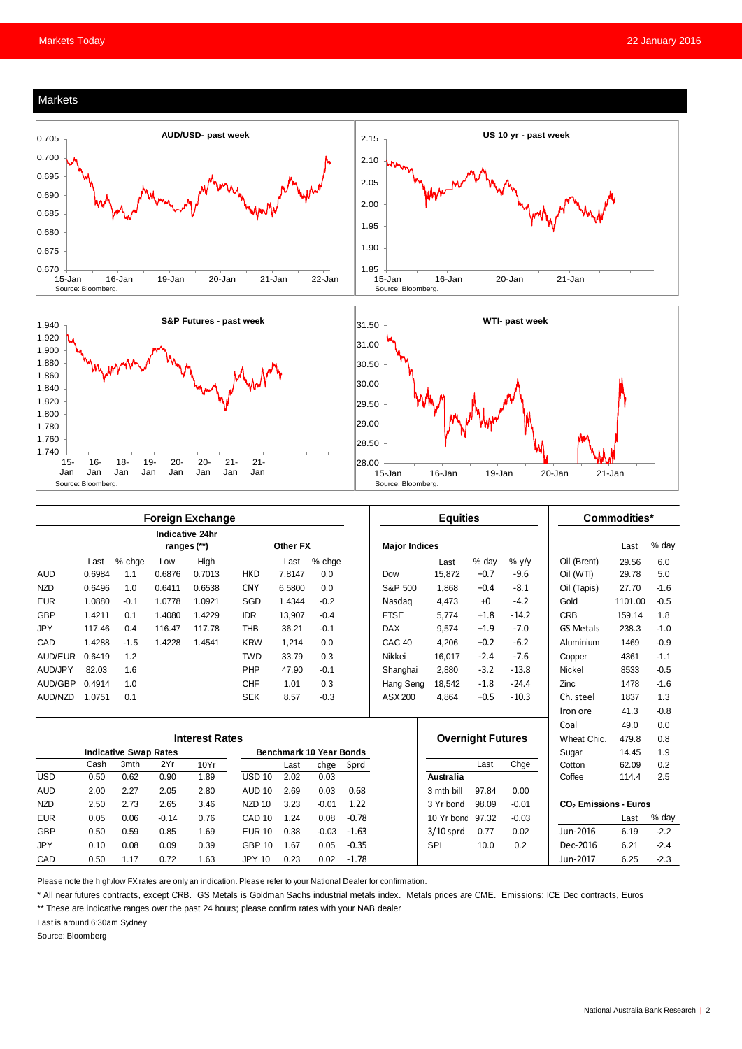





|                              | <b>Foreign Exchange</b> |        |         |                                |                   |          |         | <b>Equities</b> |                          |                  |        | Commodities* |                                   |         |        |
|------------------------------|-------------------------|--------|---------|--------------------------------|-------------------|----------|---------|-----------------|--------------------------|------------------|--------|--------------|-----------------------------------|---------|--------|
|                              |                         |        |         | Indicative 24hr<br>ranges (**) |                   | Other FX |         |                 | <b>Major Indices</b>     |                  |        |              |                                   | Last    | % day  |
|                              | Last                    | % chge | Low     | High                           |                   | Last     | % chge  |                 |                          | Last             | % day  | $%$ y/y      | Oil (Brent)                       | 29.56   | 6.0    |
| <b>AUD</b>                   | 0.6984                  | 1.1    | 0.6876  | 0.7013                         | <b>HKD</b>        | 7.8147   | 0.0     |                 | Dow                      | 15,872           | $+0.7$ | $-9.6$       | Oil (WTI)                         | 29.78   | 5.0    |
| <b>NZD</b>                   | 0.6496                  | 1.0    | 0.6411  | 0.6538                         | <b>CNY</b>        | 6.5800   | 0.0     |                 | S&P 500                  | 1.868            | $+0.4$ | $-8.1$       | Oil (Tapis)                       | 27.70   | $-1.6$ |
| <b>EUR</b>                   | 1.0880                  | $-0.1$ | 1.0778  | 1.0921                         | SGD               | 1.4344   | $-0.2$  |                 | Nasdag                   | 4.473            | $+0$   | $-4.2$       | Gold                              | 1101.00 | $-0.5$ |
| <b>GBP</b>                   | 1.4211                  | 0.1    | 1.4080  | 1.4229                         | <b>IDR</b>        | 13.907   | $-0.4$  |                 | <b>FTSE</b>              | 5.774            | $+1.8$ | $-14.2$      | <b>CRB</b>                        | 159.14  | 1.8    |
| <b>JPY</b>                   | 117.46                  | 0.4    | 116.47  | 117.78                         | <b>THB</b>        | 36.21    | $-0.1$  |                 | <b>DAX</b>               | 9.574            | $+1.9$ | $-7.0$       | <b>GS Metals</b>                  | 238.3   | $-1.0$ |
| CAD                          | 1.4288                  | $-1.5$ | 1.4228  | 1.4541                         | <b>KRW</b>        | 1.214    | 0.0     |                 | CAC <sub>40</sub>        | 4.206            | $+0.2$ | $-6.2$       | Aluminium                         | 1469    | $-0.9$ |
| AUD/EUR                      | 0.6419                  | 1.2    |         |                                | <b>TWD</b>        | 33.79    | 0.3     |                 | Nikkei                   | 16.017           | $-2.4$ | $-7.6$       | Copper                            | 4361    | $-1.1$ |
| AUD/JPY                      | 82.03                   | 1.6    |         |                                | PHP               | 47.90    | $-0.1$  |                 | Shanghai                 | 2.880            | $-3.2$ | $-13.8$      | <b>Nickel</b>                     | 8533    | $-0.5$ |
| AUD/GBP                      | 0.4914                  | 1.0    |         |                                | <b>CHF</b>        | 1.01     | 0.3     |                 | Hang Seng                | 18.542           | $-1.8$ | $-24.4$      | Zinc                              | 1478    | $-1.6$ |
| AUD/NZD                      | 1.0751                  | 0.1    |         |                                | <b>SEK</b>        | 8.57     | $-0.3$  |                 | ASX 200                  | 4.864            | $+0.5$ | $-10.3$      | Ch. steel                         | 1837    | 1.3    |
|                              |                         |        |         |                                |                   |          |         |                 |                          |                  |        |              | Iron ore                          | 41.3    | $-0.8$ |
|                              |                         |        |         |                                |                   |          |         |                 |                          |                  |        |              | Coal                              | 49.0    | 0.0    |
| <b>Interest Rates</b>        |                         |        |         |                                |                   |          |         |                 | <b>Overnight Futures</b> |                  |        | Wheat Chic.  | 479.8                             | 0.8     |        |
| <b>Indicative Swap Rates</b> |                         |        |         | Benchmark 10 Year Bonds        |                   |          |         |                 |                          |                  |        | Sugar        | 14.45                             | 1.9     |        |
|                              | Cash                    | 3mth   | 2Yr     | 10Yr                           |                   | Last     | chge    | Sprd            |                          |                  | Last   | Chge         | Cotton                            | 62.09   | 0.2    |
| <b>USD</b>                   | 0.50                    | 0.62   | 0.90    | 1.89                           | <b>USD 10</b>     | 2.02     | 0.03    |                 |                          | Australia        |        |              | Coffee                            | 114.4   | 2.5    |
| <b>AUD</b>                   | 2.00                    | 2.27   | 2.05    | 2.80                           | AUD <sub>10</sub> | 2.69     | 0.03    | 0.68            |                          | 3 mth bill       | 97.84  | 0.00         |                                   |         |        |
| <b>NZD</b>                   | 2.50                    | 2.73   | 2.65    | 3.46                           | NZD <sub>10</sub> | 3.23     | $-0.01$ | 1.22            |                          | 3 Yr bond        | 98.09  | $-0.01$      | CO <sub>2</sub> Emissions - Euros |         |        |
| <b>EUR</b>                   | 0.05                    | 0.06   | $-0.14$ | 0.76                           | CAD <sub>10</sub> | 1.24     | 0.08    | $-0.78$         |                          | 10 Yr bond 97.32 |        | $-0.03$      |                                   | Last    | % day  |
| GBP                          | 0.50                    | 0.59   | 0.85    | 1.69                           | <b>EUR 10</b>     | 0.38     | $-0.03$ | $-1.63$         |                          | $3/10$ sprd      | 0.77   | 0.02         | Jun-2016                          | 6.19    | $-2.2$ |
| <b>JPY</b>                   | 0.10                    | 0.08   | 0.09    | 0.39                           | <b>GBP 10</b>     | 1.67     | 0.05    | $-0.35$         |                          | SPI              | 10.0   | 0.2          | Dec-2016                          | 6.21    | $-2.4$ |
| CAD                          | 0.50                    | 1.17   | 0.72    | 1.63                           | <b>JPY 10</b>     | 0.23     | 0.02    | $-1.78$         |                          |                  |        |              | Jun-2017                          | 6.25    | $-2.3$ |

Please note the high/low FX rates are only an indication. Please refer to your National Dealer for confirmation.

\* All near futures contracts, except CRB. GS Metals is Goldman Sachs industrial metals index. Metals prices are CME. Emissions: ICE Dec contracts, Euros

\*\* These are indicative ranges over the past 24 hours; please confirm rates with your NAB dealer

Last is around 6:30am Sydney

Source: Bloomberg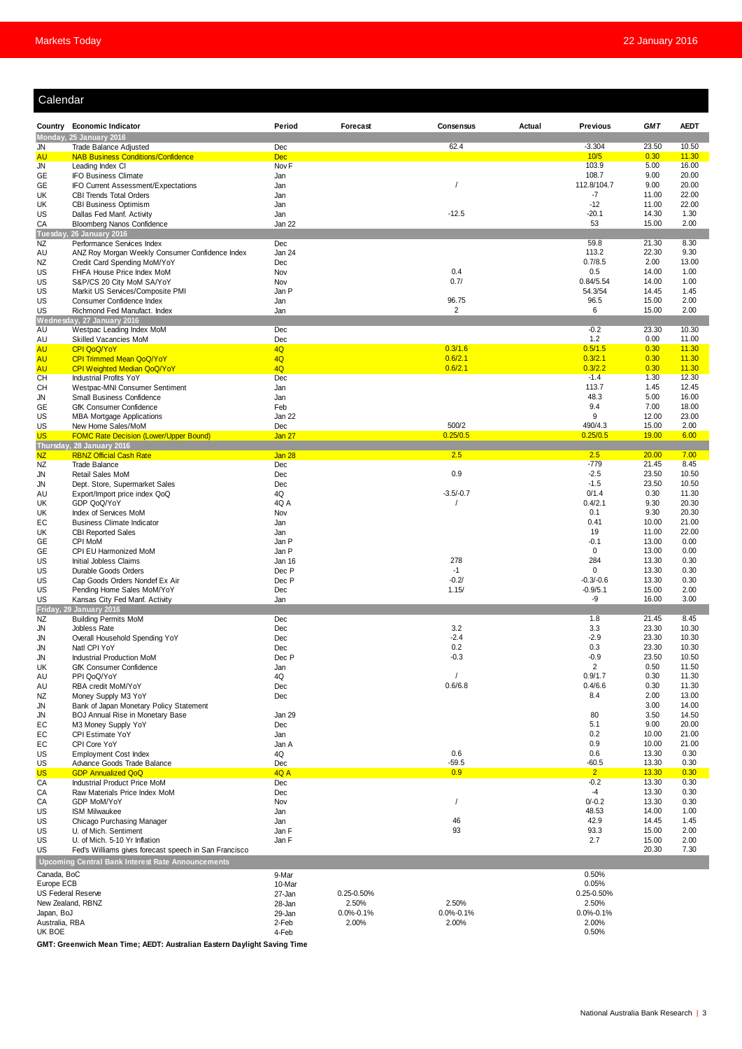| <b>GMT</b><br><b>AEDT</b><br>Country Economic Indicator<br>Period<br>Forecast<br>Consensus<br>Actual<br>Previous<br>Monday, 25 January 2016<br>$-3.304$<br>62.4<br>23.50<br>10.50<br>Trade Balance Adjusted<br>Dec<br>JN<br>10/5<br>0.30<br><b>Dec</b><br>11.30<br><b>AU</b><br><b>NAB Business Conditions/Confidence</b><br>Nov <sub>F</sub><br>103.9<br>5.00<br>JN<br>Leading Index CI<br>16.00<br>108.7<br>9.00<br>20.00<br>GE<br><b>IFO Business Climate</b><br>Jan<br>112.8/104.7<br>9.00<br>20.00<br>GE<br>IFO Current Assessment/Expectations<br>Jan<br>-7<br>11.00<br>22.00<br>UK<br><b>CBI Trends Total Orders</b><br>Jan<br>$-12$<br>11.00<br>22.00<br>UK<br><b>CBI Business Optimism</b><br>Jan<br>$-12.5$<br>$-20.1$<br>14.30<br>1.30<br>Dallas Fed Manf. Activity<br>Jan<br>US<br>53<br>15.00<br>2.00<br>CA<br><b>Bloomberg Nanos Confidence</b><br>Jan 22<br>Tuesday, 26 January 2016<br>59.8<br>21.30<br>8.30<br>NZ<br>Performance Services Index<br>Dec<br>113.2<br>22.30<br>9.30<br>Jan 24<br>ANZ Roy Morgan Weekly Consumer Confidence Index<br>AU<br>0.7/8.5<br>2.00<br>13.00<br>Credit Card Spending MoM/YoY<br>Dec<br>ΝZ<br>0.4<br>0.5<br>Nov<br>14.00<br>1.00<br>US<br>FHFA House Price Index MoM<br>0.7/<br>0.84/5.54<br>14.00<br>1.00<br>US<br>S&P/CS 20 City MoM SA/YoY<br>Nov<br>54.3/54<br>US<br>Markit US Services/Composite PMI<br>Jan P<br>14.45<br>1.45<br>US<br>Consumer Confidence Index<br>96.75<br>96.5<br>15.00<br>2.00<br>Jan<br>US<br>$\overline{2}$<br>6<br>15.00<br>2.00<br>Richmond Fed Manufact. Index<br>Jan<br>Wednesday, 27 January 2016<br>$-0.2$<br>23.30<br>10.30<br>AU<br>Westpac Leading Index MoM<br>Dec<br>1.2<br>0.00<br>11.00<br>AU<br>Skilled Vacancies MoM<br>Dec<br>0.3/1.6<br>0.5/1.5<br>4Q<br>0.30<br><b>AU</b><br><b>CPI QoQ/YoY</b><br>11.30<br>0.6/2.1<br>0.3/2.1<br>0.30<br>11.30<br><b>AU</b><br>CPI Trimmed Mean QoQ/YoY<br>4Q<br>0.6/2.1<br>0.3/2.2<br>4Q<br>0.30<br>11.30<br><b>AU</b><br>CPI Weighted Median QoQ/YoY<br>$-1.4$<br><b>CH</b><br>Dec<br>1.30<br>12.30<br><b>Industrial Profits YoY</b><br>113.7<br>1.45<br>12.45<br>CН<br>Westpac-MNI Consumer Sentiment<br>Jan<br>48.3<br>5.00<br>Small Business Confidence<br>Jan<br>16.00<br>JN<br>9.4<br>7.00<br>18.00<br>Feb<br>GE<br>GfK Consumer Confidence<br>9<br>23.00<br>US<br>MBA Mortgage Applications<br>Jan 22<br>12.00<br>US<br>500/2<br>490/4.3<br>15.00<br>2.00<br>New Home Sales/MoM<br>Dec<br>0.25/0.5<br>0.25/0.5<br>19.00<br>6.00<br><b>US</b><br><b>FOMC Rate Decision (Lower/Upper Bound)</b><br><b>Jan 27</b><br>Thursday, 28 January 2016<br>2.5<br>2.5<br>20.00<br>7.00<br><b>NZ</b><br><b>RBNZ Official Cash Rate</b><br>Jan 28<br>$-779$<br>21.45<br>8.45<br>NZ<br><b>Trade Balance</b><br>Dec<br>0.9<br>$-2.5$<br>Dec<br>23.50<br>10.50<br><b>Retail Sales MoM</b><br>JN<br>$-1.5$<br>23.50<br>10.50<br>Dept. Store, Supermarket Sales<br>Dec<br>JN<br>$-3.5/-0.7$<br>0/1.4<br>4Q<br>0.30<br>11.30<br>AU<br>Export/Import price index QoQ<br>0.4/2.1<br>GDP QoQ/YoY<br>4Q A<br>9.30<br>20.30<br>UK<br>0.1<br>9.30<br>20.30<br>Index of Services MoM<br>Nov<br>UK<br>0.41<br>10.00<br>21.00<br>EC<br><b>Business Climate Indicator</b><br>Jan<br>19<br>22.00<br>UK<br><b>CBI Reported Sales</b><br>11.00<br>Jan<br>$-0.1$<br>13.00<br>GE<br>CPI MoM<br>Jan P<br>0.00<br>$\mathbf 0$<br>13.00<br>0.00<br>GE<br>CPI EU Harmonized MoM<br>Jan P<br>278<br>284<br>13.30<br>0.30<br>US<br>Initial Jobless Claims<br>Jan 16<br>US<br>$-1$<br>$\mathbf 0$<br>13.30<br>0.30<br>Durable Goods Orders<br>Dec P<br>$-0.2/$<br>$-0.3/-0.6$<br>13.30<br>0.30<br>US<br>Cap Goods Orders Nondef Ex Air<br>Dec P<br>1.15/<br>$-0.9/5.1$<br>15.00<br>2.00<br>US<br>Pending Home Sales MoM/YoY<br>Dec<br>-9<br>16.00<br>3.00<br>US<br>Kansas City Fed Manf. Activity<br>Jan<br><b>29 January 2016</b><br>Friday.<br>1.8<br>21.45<br>8.45<br>NZ<br><b>Building Permits MoM</b><br>Dec<br>3.2<br>3.3<br>23.30<br>10.30<br>JN<br>Jobless Rate<br>Dec<br>$-2.4$<br>$-2.9$<br>23.30<br>10.30<br>Overall Household Spending YoY<br>Dec<br>JN<br>JN<br>Natl CPI YoY<br>Dec<br>0.2<br>0.3<br>23.30<br>10.30<br>$-0.3$<br>$-0.9$<br>23.50<br>Industrial Production MoM<br>Dec P<br>10.50<br>JN<br>2<br>0.50<br>11.50<br>UK<br>GfK Consumer Confidence<br>Jan<br>0.9/1.7<br>0.30<br>11.30<br>AU<br>PPI QoQ/YoY<br>4Q<br>0.6/6.8<br>0.4/6.6<br>0.30<br>11.30<br>RBA credit MoM/YoY<br>Dec<br>AU<br>8.4<br>2.00<br>13.00<br>NZ<br>Money Supply M3 YoY<br>Dec<br>3.00<br>14.00<br>Bank of Japan Monetary Policy Statement<br>JN<br>80<br>3.50<br>14.50<br>BOJ Annual Rise in Monetary Base<br>Jan 29<br>JN<br>5.1<br>9.00<br>20.00<br>EC<br>M3 Money Supply YoY<br>Dec<br>0.2<br>10.00<br>21.00<br>EC<br>CPI Estimate YoY<br>Jan<br>0.9<br>10.00<br>21.00<br>EС<br>CPI Core YoY<br>Jan A<br>0.6<br>0.6<br>13.30<br>0.30<br>US<br><b>Employment Cost Index</b><br>4Q<br>$-59.5$<br>$-60.5$<br>13.30<br>0.30<br>US<br>Advance Goods Trade Balance<br>Dec<br>2 <sup>7</sup><br><b>US</b><br>0.9<br>4Q A<br>13.30<br>0.30<br><b>GDP Annualized QoQ</b><br>$-0.2$<br>CA<br>Industrial Product Price MoM<br>Dec<br>13.30<br>0.30<br>$-4$<br>13.30<br>0.30<br>CA<br>Raw Materials Price Index MoM<br>Dec<br>$0/-0.2$<br>13.30<br>0.30<br>CA<br>GDP MoM/YoY<br>Nov<br>48.53<br>14.00<br>1.00<br>US<br><b>ISM Milwaukee</b><br>Jan<br>46<br>42.9<br>14.45<br>1.45<br>US<br>Chicago Purchasing Manager<br>Jan<br>93<br>93.3<br>15.00<br>2.00<br>US<br>U. of Mich. Sentiment<br>Jan F<br>2.7<br>15.00<br>2.00<br>US<br>U. of Mich. 5-10 Yr Inflation<br>Jan F<br>20.30<br>7.30<br>US<br>Fed's Williams gives forecast speech in San Francisco<br><b>Upcoming Central Bank Interest Rate Announcements</b><br>0.50%<br>Canada, BoC<br>9-Mar<br>0.05%<br>Europe ECB<br>10-Mar<br>US Federal Reserve<br>0.25-0.50%<br>0.25-0.50%<br>27-Jan<br>New Zealand, RBNZ<br>2.50%<br>2.50%<br>2.50%<br>28-Jan<br>Japan, BoJ<br>$0.0\% - 0.1\%$<br>$0.0\% - 0.1\%$<br>$0.0\% - 0.1\%$<br>29-Jan<br>Australia, RBA<br>2.00%<br>2.00%<br>2.00%<br>2-Feb | Calendar |  |       |  |  |  |       |  |  |  |  |
|-----------------------------------------------------------------------------------------------------------------------------------------------------------------------------------------------------------------------------------------------------------------------------------------------------------------------------------------------------------------------------------------------------------------------------------------------------------------------------------------------------------------------------------------------------------------------------------------------------------------------------------------------------------------------------------------------------------------------------------------------------------------------------------------------------------------------------------------------------------------------------------------------------------------------------------------------------------------------------------------------------------------------------------------------------------------------------------------------------------------------------------------------------------------------------------------------------------------------------------------------------------------------------------------------------------------------------------------------------------------------------------------------------------------------------------------------------------------------------------------------------------------------------------------------------------------------------------------------------------------------------------------------------------------------------------------------------------------------------------------------------------------------------------------------------------------------------------------------------------------------------------------------------------------------------------------------------------------------------------------------------------------------------------------------------------------------------------------------------------------------------------------------------------------------------------------------------------------------------------------------------------------------------------------------------------------------------------------------------------------------------------------------------------------------------------------------------------------------------------------------------------------------------------------------------------------------------------------------------------------------------------------------------------------------------------------------------------------------------------------------------------------------------------------------------------------------------------------------------------------------------------------------------------------------------------------------------------------------------------------------------------------------------------------------------------------------------------------------------------------------------------------------------------------------------------------------------------------------------------------------------------------------------------------------------------------------------------------------------------------------------------------------------------------------------------------------------------------------------------------------------------------------------------------------------------------------------------------------------------------------------------------------------------------------------------------------------------------------------------------------------------------------------------------------------------------------------------------------------------------------------------------------------------------------------------------------------------------------------------------------------------------------------------------------------------------------------------------------------------------------------------------------------------------------------------------------------------------------------------------------------------------------------------------------------------------------------------------------------------------------------------------------------------------------------------------------------------------------------------------------------------------------------------------------------------------------------------------------------------------------------------------------------------------------------------------------------------------------------------------------------------------------------------------------------------------------------------------------------------------------------------------------------------------------------------------------------------------------------------------------------------------------------------------------------------------------------------------------------------------------------------------------------------------------------------------------------------------------------------------------------------------------------------------------------------------------------------------------------------------------------------------------------------------------------------------------------------------------------------------------------------------------------------------------------------------------------------------------------------------------------------------------------------------------------------------------------------------------------------------------------------------------------------------------------------------------------------------------------------------------------------------------------------------------------------------------------------------------------------------------------------------------------------------------|----------|--|-------|--|--|--|-------|--|--|--|--|
|                                                                                                                                                                                                                                                                                                                                                                                                                                                                                                                                                                                                                                                                                                                                                                                                                                                                                                                                                                                                                                                                                                                                                                                                                                                                                                                                                                                                                                                                                                                                                                                                                                                                                                                                                                                                                                                                                                                                                                                                                                                                                                                                                                                                                                                                                                                                                                                                                                                                                                                                                                                                                                                                                                                                                                                                                                                                                                                                                                                                                                                                                                                                                                                                                                                                                                                                                                                                                                                                                                                                                                                                                                                                                                                                                                                                                                                                                                                                                                                                                                                                                                                                                                                                                                                                                                                                                                                                                                                                                                                                                                                                                                                                                                                                                                                                                                                                                                                                                                                                                                                                                                                                                                                                                                                                                                                                                                                                                                                                                                                                                                                                                                                                                                                                                                                                                                                                                                                                                                                                                                               |          |  |       |  |  |  |       |  |  |  |  |
|                                                                                                                                                                                                                                                                                                                                                                                                                                                                                                                                                                                                                                                                                                                                                                                                                                                                                                                                                                                                                                                                                                                                                                                                                                                                                                                                                                                                                                                                                                                                                                                                                                                                                                                                                                                                                                                                                                                                                                                                                                                                                                                                                                                                                                                                                                                                                                                                                                                                                                                                                                                                                                                                                                                                                                                                                                                                                                                                                                                                                                                                                                                                                                                                                                                                                                                                                                                                                                                                                                                                                                                                                                                                                                                                                                                                                                                                                                                                                                                                                                                                                                                                                                                                                                                                                                                                                                                                                                                                                                                                                                                                                                                                                                                                                                                                                                                                                                                                                                                                                                                                                                                                                                                                                                                                                                                                                                                                                                                                                                                                                                                                                                                                                                                                                                                                                                                                                                                                                                                                                                               |          |  |       |  |  |  |       |  |  |  |  |
|                                                                                                                                                                                                                                                                                                                                                                                                                                                                                                                                                                                                                                                                                                                                                                                                                                                                                                                                                                                                                                                                                                                                                                                                                                                                                                                                                                                                                                                                                                                                                                                                                                                                                                                                                                                                                                                                                                                                                                                                                                                                                                                                                                                                                                                                                                                                                                                                                                                                                                                                                                                                                                                                                                                                                                                                                                                                                                                                                                                                                                                                                                                                                                                                                                                                                                                                                                                                                                                                                                                                                                                                                                                                                                                                                                                                                                                                                                                                                                                                                                                                                                                                                                                                                                                                                                                                                                                                                                                                                                                                                                                                                                                                                                                                                                                                                                                                                                                                                                                                                                                                                                                                                                                                                                                                                                                                                                                                                                                                                                                                                                                                                                                                                                                                                                                                                                                                                                                                                                                                                                               |          |  |       |  |  |  |       |  |  |  |  |
|                                                                                                                                                                                                                                                                                                                                                                                                                                                                                                                                                                                                                                                                                                                                                                                                                                                                                                                                                                                                                                                                                                                                                                                                                                                                                                                                                                                                                                                                                                                                                                                                                                                                                                                                                                                                                                                                                                                                                                                                                                                                                                                                                                                                                                                                                                                                                                                                                                                                                                                                                                                                                                                                                                                                                                                                                                                                                                                                                                                                                                                                                                                                                                                                                                                                                                                                                                                                                                                                                                                                                                                                                                                                                                                                                                                                                                                                                                                                                                                                                                                                                                                                                                                                                                                                                                                                                                                                                                                                                                                                                                                                                                                                                                                                                                                                                                                                                                                                                                                                                                                                                                                                                                                                                                                                                                                                                                                                                                                                                                                                                                                                                                                                                                                                                                                                                                                                                                                                                                                                                                               |          |  |       |  |  |  |       |  |  |  |  |
|                                                                                                                                                                                                                                                                                                                                                                                                                                                                                                                                                                                                                                                                                                                                                                                                                                                                                                                                                                                                                                                                                                                                                                                                                                                                                                                                                                                                                                                                                                                                                                                                                                                                                                                                                                                                                                                                                                                                                                                                                                                                                                                                                                                                                                                                                                                                                                                                                                                                                                                                                                                                                                                                                                                                                                                                                                                                                                                                                                                                                                                                                                                                                                                                                                                                                                                                                                                                                                                                                                                                                                                                                                                                                                                                                                                                                                                                                                                                                                                                                                                                                                                                                                                                                                                                                                                                                                                                                                                                                                                                                                                                                                                                                                                                                                                                                                                                                                                                                                                                                                                                                                                                                                                                                                                                                                                                                                                                                                                                                                                                                                                                                                                                                                                                                                                                                                                                                                                                                                                                                                               |          |  |       |  |  |  |       |  |  |  |  |
|                                                                                                                                                                                                                                                                                                                                                                                                                                                                                                                                                                                                                                                                                                                                                                                                                                                                                                                                                                                                                                                                                                                                                                                                                                                                                                                                                                                                                                                                                                                                                                                                                                                                                                                                                                                                                                                                                                                                                                                                                                                                                                                                                                                                                                                                                                                                                                                                                                                                                                                                                                                                                                                                                                                                                                                                                                                                                                                                                                                                                                                                                                                                                                                                                                                                                                                                                                                                                                                                                                                                                                                                                                                                                                                                                                                                                                                                                                                                                                                                                                                                                                                                                                                                                                                                                                                                                                                                                                                                                                                                                                                                                                                                                                                                                                                                                                                                                                                                                                                                                                                                                                                                                                                                                                                                                                                                                                                                                                                                                                                                                                                                                                                                                                                                                                                                                                                                                                                                                                                                                                               |          |  |       |  |  |  |       |  |  |  |  |
|                                                                                                                                                                                                                                                                                                                                                                                                                                                                                                                                                                                                                                                                                                                                                                                                                                                                                                                                                                                                                                                                                                                                                                                                                                                                                                                                                                                                                                                                                                                                                                                                                                                                                                                                                                                                                                                                                                                                                                                                                                                                                                                                                                                                                                                                                                                                                                                                                                                                                                                                                                                                                                                                                                                                                                                                                                                                                                                                                                                                                                                                                                                                                                                                                                                                                                                                                                                                                                                                                                                                                                                                                                                                                                                                                                                                                                                                                                                                                                                                                                                                                                                                                                                                                                                                                                                                                                                                                                                                                                                                                                                                                                                                                                                                                                                                                                                                                                                                                                                                                                                                                                                                                                                                                                                                                                                                                                                                                                                                                                                                                                                                                                                                                                                                                                                                                                                                                                                                                                                                                                               |          |  |       |  |  |  |       |  |  |  |  |
|                                                                                                                                                                                                                                                                                                                                                                                                                                                                                                                                                                                                                                                                                                                                                                                                                                                                                                                                                                                                                                                                                                                                                                                                                                                                                                                                                                                                                                                                                                                                                                                                                                                                                                                                                                                                                                                                                                                                                                                                                                                                                                                                                                                                                                                                                                                                                                                                                                                                                                                                                                                                                                                                                                                                                                                                                                                                                                                                                                                                                                                                                                                                                                                                                                                                                                                                                                                                                                                                                                                                                                                                                                                                                                                                                                                                                                                                                                                                                                                                                                                                                                                                                                                                                                                                                                                                                                                                                                                                                                                                                                                                                                                                                                                                                                                                                                                                                                                                                                                                                                                                                                                                                                                                                                                                                                                                                                                                                                                                                                                                                                                                                                                                                                                                                                                                                                                                                                                                                                                                                                               |          |  |       |  |  |  |       |  |  |  |  |
|                                                                                                                                                                                                                                                                                                                                                                                                                                                                                                                                                                                                                                                                                                                                                                                                                                                                                                                                                                                                                                                                                                                                                                                                                                                                                                                                                                                                                                                                                                                                                                                                                                                                                                                                                                                                                                                                                                                                                                                                                                                                                                                                                                                                                                                                                                                                                                                                                                                                                                                                                                                                                                                                                                                                                                                                                                                                                                                                                                                                                                                                                                                                                                                                                                                                                                                                                                                                                                                                                                                                                                                                                                                                                                                                                                                                                                                                                                                                                                                                                                                                                                                                                                                                                                                                                                                                                                                                                                                                                                                                                                                                                                                                                                                                                                                                                                                                                                                                                                                                                                                                                                                                                                                                                                                                                                                                                                                                                                                                                                                                                                                                                                                                                                                                                                                                                                                                                                                                                                                                                                               |          |  |       |  |  |  |       |  |  |  |  |
|                                                                                                                                                                                                                                                                                                                                                                                                                                                                                                                                                                                                                                                                                                                                                                                                                                                                                                                                                                                                                                                                                                                                                                                                                                                                                                                                                                                                                                                                                                                                                                                                                                                                                                                                                                                                                                                                                                                                                                                                                                                                                                                                                                                                                                                                                                                                                                                                                                                                                                                                                                                                                                                                                                                                                                                                                                                                                                                                                                                                                                                                                                                                                                                                                                                                                                                                                                                                                                                                                                                                                                                                                                                                                                                                                                                                                                                                                                                                                                                                                                                                                                                                                                                                                                                                                                                                                                                                                                                                                                                                                                                                                                                                                                                                                                                                                                                                                                                                                                                                                                                                                                                                                                                                                                                                                                                                                                                                                                                                                                                                                                                                                                                                                                                                                                                                                                                                                                                                                                                                                                               |          |  |       |  |  |  |       |  |  |  |  |
|                                                                                                                                                                                                                                                                                                                                                                                                                                                                                                                                                                                                                                                                                                                                                                                                                                                                                                                                                                                                                                                                                                                                                                                                                                                                                                                                                                                                                                                                                                                                                                                                                                                                                                                                                                                                                                                                                                                                                                                                                                                                                                                                                                                                                                                                                                                                                                                                                                                                                                                                                                                                                                                                                                                                                                                                                                                                                                                                                                                                                                                                                                                                                                                                                                                                                                                                                                                                                                                                                                                                                                                                                                                                                                                                                                                                                                                                                                                                                                                                                                                                                                                                                                                                                                                                                                                                                                                                                                                                                                                                                                                                                                                                                                                                                                                                                                                                                                                                                                                                                                                                                                                                                                                                                                                                                                                                                                                                                                                                                                                                                                                                                                                                                                                                                                                                                                                                                                                                                                                                                                               |          |  |       |  |  |  |       |  |  |  |  |
|                                                                                                                                                                                                                                                                                                                                                                                                                                                                                                                                                                                                                                                                                                                                                                                                                                                                                                                                                                                                                                                                                                                                                                                                                                                                                                                                                                                                                                                                                                                                                                                                                                                                                                                                                                                                                                                                                                                                                                                                                                                                                                                                                                                                                                                                                                                                                                                                                                                                                                                                                                                                                                                                                                                                                                                                                                                                                                                                                                                                                                                                                                                                                                                                                                                                                                                                                                                                                                                                                                                                                                                                                                                                                                                                                                                                                                                                                                                                                                                                                                                                                                                                                                                                                                                                                                                                                                                                                                                                                                                                                                                                                                                                                                                                                                                                                                                                                                                                                                                                                                                                                                                                                                                                                                                                                                                                                                                                                                                                                                                                                                                                                                                                                                                                                                                                                                                                                                                                                                                                                                               |          |  |       |  |  |  |       |  |  |  |  |
|                                                                                                                                                                                                                                                                                                                                                                                                                                                                                                                                                                                                                                                                                                                                                                                                                                                                                                                                                                                                                                                                                                                                                                                                                                                                                                                                                                                                                                                                                                                                                                                                                                                                                                                                                                                                                                                                                                                                                                                                                                                                                                                                                                                                                                                                                                                                                                                                                                                                                                                                                                                                                                                                                                                                                                                                                                                                                                                                                                                                                                                                                                                                                                                                                                                                                                                                                                                                                                                                                                                                                                                                                                                                                                                                                                                                                                                                                                                                                                                                                                                                                                                                                                                                                                                                                                                                                                                                                                                                                                                                                                                                                                                                                                                                                                                                                                                                                                                                                                                                                                                                                                                                                                                                                                                                                                                                                                                                                                                                                                                                                                                                                                                                                                                                                                                                                                                                                                                                                                                                                                               |          |  |       |  |  |  |       |  |  |  |  |
|                                                                                                                                                                                                                                                                                                                                                                                                                                                                                                                                                                                                                                                                                                                                                                                                                                                                                                                                                                                                                                                                                                                                                                                                                                                                                                                                                                                                                                                                                                                                                                                                                                                                                                                                                                                                                                                                                                                                                                                                                                                                                                                                                                                                                                                                                                                                                                                                                                                                                                                                                                                                                                                                                                                                                                                                                                                                                                                                                                                                                                                                                                                                                                                                                                                                                                                                                                                                                                                                                                                                                                                                                                                                                                                                                                                                                                                                                                                                                                                                                                                                                                                                                                                                                                                                                                                                                                                                                                                                                                                                                                                                                                                                                                                                                                                                                                                                                                                                                                                                                                                                                                                                                                                                                                                                                                                                                                                                                                                                                                                                                                                                                                                                                                                                                                                                                                                                                                                                                                                                                                               |          |  |       |  |  |  |       |  |  |  |  |
|                                                                                                                                                                                                                                                                                                                                                                                                                                                                                                                                                                                                                                                                                                                                                                                                                                                                                                                                                                                                                                                                                                                                                                                                                                                                                                                                                                                                                                                                                                                                                                                                                                                                                                                                                                                                                                                                                                                                                                                                                                                                                                                                                                                                                                                                                                                                                                                                                                                                                                                                                                                                                                                                                                                                                                                                                                                                                                                                                                                                                                                                                                                                                                                                                                                                                                                                                                                                                                                                                                                                                                                                                                                                                                                                                                                                                                                                                                                                                                                                                                                                                                                                                                                                                                                                                                                                                                                                                                                                                                                                                                                                                                                                                                                                                                                                                                                                                                                                                                                                                                                                                                                                                                                                                                                                                                                                                                                                                                                                                                                                                                                                                                                                                                                                                                                                                                                                                                                                                                                                                                               |          |  |       |  |  |  |       |  |  |  |  |
|                                                                                                                                                                                                                                                                                                                                                                                                                                                                                                                                                                                                                                                                                                                                                                                                                                                                                                                                                                                                                                                                                                                                                                                                                                                                                                                                                                                                                                                                                                                                                                                                                                                                                                                                                                                                                                                                                                                                                                                                                                                                                                                                                                                                                                                                                                                                                                                                                                                                                                                                                                                                                                                                                                                                                                                                                                                                                                                                                                                                                                                                                                                                                                                                                                                                                                                                                                                                                                                                                                                                                                                                                                                                                                                                                                                                                                                                                                                                                                                                                                                                                                                                                                                                                                                                                                                                                                                                                                                                                                                                                                                                                                                                                                                                                                                                                                                                                                                                                                                                                                                                                                                                                                                                                                                                                                                                                                                                                                                                                                                                                                                                                                                                                                                                                                                                                                                                                                                                                                                                                                               |          |  |       |  |  |  |       |  |  |  |  |
|                                                                                                                                                                                                                                                                                                                                                                                                                                                                                                                                                                                                                                                                                                                                                                                                                                                                                                                                                                                                                                                                                                                                                                                                                                                                                                                                                                                                                                                                                                                                                                                                                                                                                                                                                                                                                                                                                                                                                                                                                                                                                                                                                                                                                                                                                                                                                                                                                                                                                                                                                                                                                                                                                                                                                                                                                                                                                                                                                                                                                                                                                                                                                                                                                                                                                                                                                                                                                                                                                                                                                                                                                                                                                                                                                                                                                                                                                                                                                                                                                                                                                                                                                                                                                                                                                                                                                                                                                                                                                                                                                                                                                                                                                                                                                                                                                                                                                                                                                                                                                                                                                                                                                                                                                                                                                                                                                                                                                                                                                                                                                                                                                                                                                                                                                                                                                                                                                                                                                                                                                                               |          |  |       |  |  |  |       |  |  |  |  |
|                                                                                                                                                                                                                                                                                                                                                                                                                                                                                                                                                                                                                                                                                                                                                                                                                                                                                                                                                                                                                                                                                                                                                                                                                                                                                                                                                                                                                                                                                                                                                                                                                                                                                                                                                                                                                                                                                                                                                                                                                                                                                                                                                                                                                                                                                                                                                                                                                                                                                                                                                                                                                                                                                                                                                                                                                                                                                                                                                                                                                                                                                                                                                                                                                                                                                                                                                                                                                                                                                                                                                                                                                                                                                                                                                                                                                                                                                                                                                                                                                                                                                                                                                                                                                                                                                                                                                                                                                                                                                                                                                                                                                                                                                                                                                                                                                                                                                                                                                                                                                                                                                                                                                                                                                                                                                                                                                                                                                                                                                                                                                                                                                                                                                                                                                                                                                                                                                                                                                                                                                                               |          |  |       |  |  |  |       |  |  |  |  |
|                                                                                                                                                                                                                                                                                                                                                                                                                                                                                                                                                                                                                                                                                                                                                                                                                                                                                                                                                                                                                                                                                                                                                                                                                                                                                                                                                                                                                                                                                                                                                                                                                                                                                                                                                                                                                                                                                                                                                                                                                                                                                                                                                                                                                                                                                                                                                                                                                                                                                                                                                                                                                                                                                                                                                                                                                                                                                                                                                                                                                                                                                                                                                                                                                                                                                                                                                                                                                                                                                                                                                                                                                                                                                                                                                                                                                                                                                                                                                                                                                                                                                                                                                                                                                                                                                                                                                                                                                                                                                                                                                                                                                                                                                                                                                                                                                                                                                                                                                                                                                                                                                                                                                                                                                                                                                                                                                                                                                                                                                                                                                                                                                                                                                                                                                                                                                                                                                                                                                                                                                                               |          |  |       |  |  |  |       |  |  |  |  |
|                                                                                                                                                                                                                                                                                                                                                                                                                                                                                                                                                                                                                                                                                                                                                                                                                                                                                                                                                                                                                                                                                                                                                                                                                                                                                                                                                                                                                                                                                                                                                                                                                                                                                                                                                                                                                                                                                                                                                                                                                                                                                                                                                                                                                                                                                                                                                                                                                                                                                                                                                                                                                                                                                                                                                                                                                                                                                                                                                                                                                                                                                                                                                                                                                                                                                                                                                                                                                                                                                                                                                                                                                                                                                                                                                                                                                                                                                                                                                                                                                                                                                                                                                                                                                                                                                                                                                                                                                                                                                                                                                                                                                                                                                                                                                                                                                                                                                                                                                                                                                                                                                                                                                                                                                                                                                                                                                                                                                                                                                                                                                                                                                                                                                                                                                                                                                                                                                                                                                                                                                                               |          |  |       |  |  |  |       |  |  |  |  |
|                                                                                                                                                                                                                                                                                                                                                                                                                                                                                                                                                                                                                                                                                                                                                                                                                                                                                                                                                                                                                                                                                                                                                                                                                                                                                                                                                                                                                                                                                                                                                                                                                                                                                                                                                                                                                                                                                                                                                                                                                                                                                                                                                                                                                                                                                                                                                                                                                                                                                                                                                                                                                                                                                                                                                                                                                                                                                                                                                                                                                                                                                                                                                                                                                                                                                                                                                                                                                                                                                                                                                                                                                                                                                                                                                                                                                                                                                                                                                                                                                                                                                                                                                                                                                                                                                                                                                                                                                                                                                                                                                                                                                                                                                                                                                                                                                                                                                                                                                                                                                                                                                                                                                                                                                                                                                                                                                                                                                                                                                                                                                                                                                                                                                                                                                                                                                                                                                                                                                                                                                                               |          |  |       |  |  |  |       |  |  |  |  |
|                                                                                                                                                                                                                                                                                                                                                                                                                                                                                                                                                                                                                                                                                                                                                                                                                                                                                                                                                                                                                                                                                                                                                                                                                                                                                                                                                                                                                                                                                                                                                                                                                                                                                                                                                                                                                                                                                                                                                                                                                                                                                                                                                                                                                                                                                                                                                                                                                                                                                                                                                                                                                                                                                                                                                                                                                                                                                                                                                                                                                                                                                                                                                                                                                                                                                                                                                                                                                                                                                                                                                                                                                                                                                                                                                                                                                                                                                                                                                                                                                                                                                                                                                                                                                                                                                                                                                                                                                                                                                                                                                                                                                                                                                                                                                                                                                                                                                                                                                                                                                                                                                                                                                                                                                                                                                                                                                                                                                                                                                                                                                                                                                                                                                                                                                                                                                                                                                                                                                                                                                                               |          |  |       |  |  |  |       |  |  |  |  |
|                                                                                                                                                                                                                                                                                                                                                                                                                                                                                                                                                                                                                                                                                                                                                                                                                                                                                                                                                                                                                                                                                                                                                                                                                                                                                                                                                                                                                                                                                                                                                                                                                                                                                                                                                                                                                                                                                                                                                                                                                                                                                                                                                                                                                                                                                                                                                                                                                                                                                                                                                                                                                                                                                                                                                                                                                                                                                                                                                                                                                                                                                                                                                                                                                                                                                                                                                                                                                                                                                                                                                                                                                                                                                                                                                                                                                                                                                                                                                                                                                                                                                                                                                                                                                                                                                                                                                                                                                                                                                                                                                                                                                                                                                                                                                                                                                                                                                                                                                                                                                                                                                                                                                                                                                                                                                                                                                                                                                                                                                                                                                                                                                                                                                                                                                                                                                                                                                                                                                                                                                                               |          |  |       |  |  |  |       |  |  |  |  |
|                                                                                                                                                                                                                                                                                                                                                                                                                                                                                                                                                                                                                                                                                                                                                                                                                                                                                                                                                                                                                                                                                                                                                                                                                                                                                                                                                                                                                                                                                                                                                                                                                                                                                                                                                                                                                                                                                                                                                                                                                                                                                                                                                                                                                                                                                                                                                                                                                                                                                                                                                                                                                                                                                                                                                                                                                                                                                                                                                                                                                                                                                                                                                                                                                                                                                                                                                                                                                                                                                                                                                                                                                                                                                                                                                                                                                                                                                                                                                                                                                                                                                                                                                                                                                                                                                                                                                                                                                                                                                                                                                                                                                                                                                                                                                                                                                                                                                                                                                                                                                                                                                                                                                                                                                                                                                                                                                                                                                                                                                                                                                                                                                                                                                                                                                                                                                                                                                                                                                                                                                                               |          |  |       |  |  |  |       |  |  |  |  |
|                                                                                                                                                                                                                                                                                                                                                                                                                                                                                                                                                                                                                                                                                                                                                                                                                                                                                                                                                                                                                                                                                                                                                                                                                                                                                                                                                                                                                                                                                                                                                                                                                                                                                                                                                                                                                                                                                                                                                                                                                                                                                                                                                                                                                                                                                                                                                                                                                                                                                                                                                                                                                                                                                                                                                                                                                                                                                                                                                                                                                                                                                                                                                                                                                                                                                                                                                                                                                                                                                                                                                                                                                                                                                                                                                                                                                                                                                                                                                                                                                                                                                                                                                                                                                                                                                                                                                                                                                                                                                                                                                                                                                                                                                                                                                                                                                                                                                                                                                                                                                                                                                                                                                                                                                                                                                                                                                                                                                                                                                                                                                                                                                                                                                                                                                                                                                                                                                                                                                                                                                                               |          |  |       |  |  |  |       |  |  |  |  |
|                                                                                                                                                                                                                                                                                                                                                                                                                                                                                                                                                                                                                                                                                                                                                                                                                                                                                                                                                                                                                                                                                                                                                                                                                                                                                                                                                                                                                                                                                                                                                                                                                                                                                                                                                                                                                                                                                                                                                                                                                                                                                                                                                                                                                                                                                                                                                                                                                                                                                                                                                                                                                                                                                                                                                                                                                                                                                                                                                                                                                                                                                                                                                                                                                                                                                                                                                                                                                                                                                                                                                                                                                                                                                                                                                                                                                                                                                                                                                                                                                                                                                                                                                                                                                                                                                                                                                                                                                                                                                                                                                                                                                                                                                                                                                                                                                                                                                                                                                                                                                                                                                                                                                                                                                                                                                                                                                                                                                                                                                                                                                                                                                                                                                                                                                                                                                                                                                                                                                                                                                                               |          |  |       |  |  |  |       |  |  |  |  |
|                                                                                                                                                                                                                                                                                                                                                                                                                                                                                                                                                                                                                                                                                                                                                                                                                                                                                                                                                                                                                                                                                                                                                                                                                                                                                                                                                                                                                                                                                                                                                                                                                                                                                                                                                                                                                                                                                                                                                                                                                                                                                                                                                                                                                                                                                                                                                                                                                                                                                                                                                                                                                                                                                                                                                                                                                                                                                                                                                                                                                                                                                                                                                                                                                                                                                                                                                                                                                                                                                                                                                                                                                                                                                                                                                                                                                                                                                                                                                                                                                                                                                                                                                                                                                                                                                                                                                                                                                                                                                                                                                                                                                                                                                                                                                                                                                                                                                                                                                                                                                                                                                                                                                                                                                                                                                                                                                                                                                                                                                                                                                                                                                                                                                                                                                                                                                                                                                                                                                                                                                                               |          |  |       |  |  |  |       |  |  |  |  |
|                                                                                                                                                                                                                                                                                                                                                                                                                                                                                                                                                                                                                                                                                                                                                                                                                                                                                                                                                                                                                                                                                                                                                                                                                                                                                                                                                                                                                                                                                                                                                                                                                                                                                                                                                                                                                                                                                                                                                                                                                                                                                                                                                                                                                                                                                                                                                                                                                                                                                                                                                                                                                                                                                                                                                                                                                                                                                                                                                                                                                                                                                                                                                                                                                                                                                                                                                                                                                                                                                                                                                                                                                                                                                                                                                                                                                                                                                                                                                                                                                                                                                                                                                                                                                                                                                                                                                                                                                                                                                                                                                                                                                                                                                                                                                                                                                                                                                                                                                                                                                                                                                                                                                                                                                                                                                                                                                                                                                                                                                                                                                                                                                                                                                                                                                                                                                                                                                                                                                                                                                                               |          |  |       |  |  |  |       |  |  |  |  |
|                                                                                                                                                                                                                                                                                                                                                                                                                                                                                                                                                                                                                                                                                                                                                                                                                                                                                                                                                                                                                                                                                                                                                                                                                                                                                                                                                                                                                                                                                                                                                                                                                                                                                                                                                                                                                                                                                                                                                                                                                                                                                                                                                                                                                                                                                                                                                                                                                                                                                                                                                                                                                                                                                                                                                                                                                                                                                                                                                                                                                                                                                                                                                                                                                                                                                                                                                                                                                                                                                                                                                                                                                                                                                                                                                                                                                                                                                                                                                                                                                                                                                                                                                                                                                                                                                                                                                                                                                                                                                                                                                                                                                                                                                                                                                                                                                                                                                                                                                                                                                                                                                                                                                                                                                                                                                                                                                                                                                                                                                                                                                                                                                                                                                                                                                                                                                                                                                                                                                                                                                                               |          |  |       |  |  |  |       |  |  |  |  |
|                                                                                                                                                                                                                                                                                                                                                                                                                                                                                                                                                                                                                                                                                                                                                                                                                                                                                                                                                                                                                                                                                                                                                                                                                                                                                                                                                                                                                                                                                                                                                                                                                                                                                                                                                                                                                                                                                                                                                                                                                                                                                                                                                                                                                                                                                                                                                                                                                                                                                                                                                                                                                                                                                                                                                                                                                                                                                                                                                                                                                                                                                                                                                                                                                                                                                                                                                                                                                                                                                                                                                                                                                                                                                                                                                                                                                                                                                                                                                                                                                                                                                                                                                                                                                                                                                                                                                                                                                                                                                                                                                                                                                                                                                                                                                                                                                                                                                                                                                                                                                                                                                                                                                                                                                                                                                                                                                                                                                                                                                                                                                                                                                                                                                                                                                                                                                                                                                                                                                                                                                                               |          |  |       |  |  |  |       |  |  |  |  |
|                                                                                                                                                                                                                                                                                                                                                                                                                                                                                                                                                                                                                                                                                                                                                                                                                                                                                                                                                                                                                                                                                                                                                                                                                                                                                                                                                                                                                                                                                                                                                                                                                                                                                                                                                                                                                                                                                                                                                                                                                                                                                                                                                                                                                                                                                                                                                                                                                                                                                                                                                                                                                                                                                                                                                                                                                                                                                                                                                                                                                                                                                                                                                                                                                                                                                                                                                                                                                                                                                                                                                                                                                                                                                                                                                                                                                                                                                                                                                                                                                                                                                                                                                                                                                                                                                                                                                                                                                                                                                                                                                                                                                                                                                                                                                                                                                                                                                                                                                                                                                                                                                                                                                                                                                                                                                                                                                                                                                                                                                                                                                                                                                                                                                                                                                                                                                                                                                                                                                                                                                                               |          |  |       |  |  |  |       |  |  |  |  |
|                                                                                                                                                                                                                                                                                                                                                                                                                                                                                                                                                                                                                                                                                                                                                                                                                                                                                                                                                                                                                                                                                                                                                                                                                                                                                                                                                                                                                                                                                                                                                                                                                                                                                                                                                                                                                                                                                                                                                                                                                                                                                                                                                                                                                                                                                                                                                                                                                                                                                                                                                                                                                                                                                                                                                                                                                                                                                                                                                                                                                                                                                                                                                                                                                                                                                                                                                                                                                                                                                                                                                                                                                                                                                                                                                                                                                                                                                                                                                                                                                                                                                                                                                                                                                                                                                                                                                                                                                                                                                                                                                                                                                                                                                                                                                                                                                                                                                                                                                                                                                                                                                                                                                                                                                                                                                                                                                                                                                                                                                                                                                                                                                                                                                                                                                                                                                                                                                                                                                                                                                                               |          |  |       |  |  |  |       |  |  |  |  |
|                                                                                                                                                                                                                                                                                                                                                                                                                                                                                                                                                                                                                                                                                                                                                                                                                                                                                                                                                                                                                                                                                                                                                                                                                                                                                                                                                                                                                                                                                                                                                                                                                                                                                                                                                                                                                                                                                                                                                                                                                                                                                                                                                                                                                                                                                                                                                                                                                                                                                                                                                                                                                                                                                                                                                                                                                                                                                                                                                                                                                                                                                                                                                                                                                                                                                                                                                                                                                                                                                                                                                                                                                                                                                                                                                                                                                                                                                                                                                                                                                                                                                                                                                                                                                                                                                                                                                                                                                                                                                                                                                                                                                                                                                                                                                                                                                                                                                                                                                                                                                                                                                                                                                                                                                                                                                                                                                                                                                                                                                                                                                                                                                                                                                                                                                                                                                                                                                                                                                                                                                                               |          |  |       |  |  |  |       |  |  |  |  |
|                                                                                                                                                                                                                                                                                                                                                                                                                                                                                                                                                                                                                                                                                                                                                                                                                                                                                                                                                                                                                                                                                                                                                                                                                                                                                                                                                                                                                                                                                                                                                                                                                                                                                                                                                                                                                                                                                                                                                                                                                                                                                                                                                                                                                                                                                                                                                                                                                                                                                                                                                                                                                                                                                                                                                                                                                                                                                                                                                                                                                                                                                                                                                                                                                                                                                                                                                                                                                                                                                                                                                                                                                                                                                                                                                                                                                                                                                                                                                                                                                                                                                                                                                                                                                                                                                                                                                                                                                                                                                                                                                                                                                                                                                                                                                                                                                                                                                                                                                                                                                                                                                                                                                                                                                                                                                                                                                                                                                                                                                                                                                                                                                                                                                                                                                                                                                                                                                                                                                                                                                                               |          |  |       |  |  |  |       |  |  |  |  |
|                                                                                                                                                                                                                                                                                                                                                                                                                                                                                                                                                                                                                                                                                                                                                                                                                                                                                                                                                                                                                                                                                                                                                                                                                                                                                                                                                                                                                                                                                                                                                                                                                                                                                                                                                                                                                                                                                                                                                                                                                                                                                                                                                                                                                                                                                                                                                                                                                                                                                                                                                                                                                                                                                                                                                                                                                                                                                                                                                                                                                                                                                                                                                                                                                                                                                                                                                                                                                                                                                                                                                                                                                                                                                                                                                                                                                                                                                                                                                                                                                                                                                                                                                                                                                                                                                                                                                                                                                                                                                                                                                                                                                                                                                                                                                                                                                                                                                                                                                                                                                                                                                                                                                                                                                                                                                                                                                                                                                                                                                                                                                                                                                                                                                                                                                                                                                                                                                                                                                                                                                                               |          |  |       |  |  |  |       |  |  |  |  |
|                                                                                                                                                                                                                                                                                                                                                                                                                                                                                                                                                                                                                                                                                                                                                                                                                                                                                                                                                                                                                                                                                                                                                                                                                                                                                                                                                                                                                                                                                                                                                                                                                                                                                                                                                                                                                                                                                                                                                                                                                                                                                                                                                                                                                                                                                                                                                                                                                                                                                                                                                                                                                                                                                                                                                                                                                                                                                                                                                                                                                                                                                                                                                                                                                                                                                                                                                                                                                                                                                                                                                                                                                                                                                                                                                                                                                                                                                                                                                                                                                                                                                                                                                                                                                                                                                                                                                                                                                                                                                                                                                                                                                                                                                                                                                                                                                                                                                                                                                                                                                                                                                                                                                                                                                                                                                                                                                                                                                                                                                                                                                                                                                                                                                                                                                                                                                                                                                                                                                                                                                                               |          |  |       |  |  |  |       |  |  |  |  |
|                                                                                                                                                                                                                                                                                                                                                                                                                                                                                                                                                                                                                                                                                                                                                                                                                                                                                                                                                                                                                                                                                                                                                                                                                                                                                                                                                                                                                                                                                                                                                                                                                                                                                                                                                                                                                                                                                                                                                                                                                                                                                                                                                                                                                                                                                                                                                                                                                                                                                                                                                                                                                                                                                                                                                                                                                                                                                                                                                                                                                                                                                                                                                                                                                                                                                                                                                                                                                                                                                                                                                                                                                                                                                                                                                                                                                                                                                                                                                                                                                                                                                                                                                                                                                                                                                                                                                                                                                                                                                                                                                                                                                                                                                                                                                                                                                                                                                                                                                                                                                                                                                                                                                                                                                                                                                                                                                                                                                                                                                                                                                                                                                                                                                                                                                                                                                                                                                                                                                                                                                                               |          |  |       |  |  |  |       |  |  |  |  |
|                                                                                                                                                                                                                                                                                                                                                                                                                                                                                                                                                                                                                                                                                                                                                                                                                                                                                                                                                                                                                                                                                                                                                                                                                                                                                                                                                                                                                                                                                                                                                                                                                                                                                                                                                                                                                                                                                                                                                                                                                                                                                                                                                                                                                                                                                                                                                                                                                                                                                                                                                                                                                                                                                                                                                                                                                                                                                                                                                                                                                                                                                                                                                                                                                                                                                                                                                                                                                                                                                                                                                                                                                                                                                                                                                                                                                                                                                                                                                                                                                                                                                                                                                                                                                                                                                                                                                                                                                                                                                                                                                                                                                                                                                                                                                                                                                                                                                                                                                                                                                                                                                                                                                                                                                                                                                                                                                                                                                                                                                                                                                                                                                                                                                                                                                                                                                                                                                                                                                                                                                                               |          |  |       |  |  |  |       |  |  |  |  |
|                                                                                                                                                                                                                                                                                                                                                                                                                                                                                                                                                                                                                                                                                                                                                                                                                                                                                                                                                                                                                                                                                                                                                                                                                                                                                                                                                                                                                                                                                                                                                                                                                                                                                                                                                                                                                                                                                                                                                                                                                                                                                                                                                                                                                                                                                                                                                                                                                                                                                                                                                                                                                                                                                                                                                                                                                                                                                                                                                                                                                                                                                                                                                                                                                                                                                                                                                                                                                                                                                                                                                                                                                                                                                                                                                                                                                                                                                                                                                                                                                                                                                                                                                                                                                                                                                                                                                                                                                                                                                                                                                                                                                                                                                                                                                                                                                                                                                                                                                                                                                                                                                                                                                                                                                                                                                                                                                                                                                                                                                                                                                                                                                                                                                                                                                                                                                                                                                                                                                                                                                                               |          |  |       |  |  |  |       |  |  |  |  |
|                                                                                                                                                                                                                                                                                                                                                                                                                                                                                                                                                                                                                                                                                                                                                                                                                                                                                                                                                                                                                                                                                                                                                                                                                                                                                                                                                                                                                                                                                                                                                                                                                                                                                                                                                                                                                                                                                                                                                                                                                                                                                                                                                                                                                                                                                                                                                                                                                                                                                                                                                                                                                                                                                                                                                                                                                                                                                                                                                                                                                                                                                                                                                                                                                                                                                                                                                                                                                                                                                                                                                                                                                                                                                                                                                                                                                                                                                                                                                                                                                                                                                                                                                                                                                                                                                                                                                                                                                                                                                                                                                                                                                                                                                                                                                                                                                                                                                                                                                                                                                                                                                                                                                                                                                                                                                                                                                                                                                                                                                                                                                                                                                                                                                                                                                                                                                                                                                                                                                                                                                                               |          |  |       |  |  |  |       |  |  |  |  |
|                                                                                                                                                                                                                                                                                                                                                                                                                                                                                                                                                                                                                                                                                                                                                                                                                                                                                                                                                                                                                                                                                                                                                                                                                                                                                                                                                                                                                                                                                                                                                                                                                                                                                                                                                                                                                                                                                                                                                                                                                                                                                                                                                                                                                                                                                                                                                                                                                                                                                                                                                                                                                                                                                                                                                                                                                                                                                                                                                                                                                                                                                                                                                                                                                                                                                                                                                                                                                                                                                                                                                                                                                                                                                                                                                                                                                                                                                                                                                                                                                                                                                                                                                                                                                                                                                                                                                                                                                                                                                                                                                                                                                                                                                                                                                                                                                                                                                                                                                                                                                                                                                                                                                                                                                                                                                                                                                                                                                                                                                                                                                                                                                                                                                                                                                                                                                                                                                                                                                                                                                                               |          |  |       |  |  |  |       |  |  |  |  |
|                                                                                                                                                                                                                                                                                                                                                                                                                                                                                                                                                                                                                                                                                                                                                                                                                                                                                                                                                                                                                                                                                                                                                                                                                                                                                                                                                                                                                                                                                                                                                                                                                                                                                                                                                                                                                                                                                                                                                                                                                                                                                                                                                                                                                                                                                                                                                                                                                                                                                                                                                                                                                                                                                                                                                                                                                                                                                                                                                                                                                                                                                                                                                                                                                                                                                                                                                                                                                                                                                                                                                                                                                                                                                                                                                                                                                                                                                                                                                                                                                                                                                                                                                                                                                                                                                                                                                                                                                                                                                                                                                                                                                                                                                                                                                                                                                                                                                                                                                                                                                                                                                                                                                                                                                                                                                                                                                                                                                                                                                                                                                                                                                                                                                                                                                                                                                                                                                                                                                                                                                                               |          |  |       |  |  |  |       |  |  |  |  |
|                                                                                                                                                                                                                                                                                                                                                                                                                                                                                                                                                                                                                                                                                                                                                                                                                                                                                                                                                                                                                                                                                                                                                                                                                                                                                                                                                                                                                                                                                                                                                                                                                                                                                                                                                                                                                                                                                                                                                                                                                                                                                                                                                                                                                                                                                                                                                                                                                                                                                                                                                                                                                                                                                                                                                                                                                                                                                                                                                                                                                                                                                                                                                                                                                                                                                                                                                                                                                                                                                                                                                                                                                                                                                                                                                                                                                                                                                                                                                                                                                                                                                                                                                                                                                                                                                                                                                                                                                                                                                                                                                                                                                                                                                                                                                                                                                                                                                                                                                                                                                                                                                                                                                                                                                                                                                                                                                                                                                                                                                                                                                                                                                                                                                                                                                                                                                                                                                                                                                                                                                                               |          |  |       |  |  |  |       |  |  |  |  |
|                                                                                                                                                                                                                                                                                                                                                                                                                                                                                                                                                                                                                                                                                                                                                                                                                                                                                                                                                                                                                                                                                                                                                                                                                                                                                                                                                                                                                                                                                                                                                                                                                                                                                                                                                                                                                                                                                                                                                                                                                                                                                                                                                                                                                                                                                                                                                                                                                                                                                                                                                                                                                                                                                                                                                                                                                                                                                                                                                                                                                                                                                                                                                                                                                                                                                                                                                                                                                                                                                                                                                                                                                                                                                                                                                                                                                                                                                                                                                                                                                                                                                                                                                                                                                                                                                                                                                                                                                                                                                                                                                                                                                                                                                                                                                                                                                                                                                                                                                                                                                                                                                                                                                                                                                                                                                                                                                                                                                                                                                                                                                                                                                                                                                                                                                                                                                                                                                                                                                                                                                                               |          |  |       |  |  |  |       |  |  |  |  |
|                                                                                                                                                                                                                                                                                                                                                                                                                                                                                                                                                                                                                                                                                                                                                                                                                                                                                                                                                                                                                                                                                                                                                                                                                                                                                                                                                                                                                                                                                                                                                                                                                                                                                                                                                                                                                                                                                                                                                                                                                                                                                                                                                                                                                                                                                                                                                                                                                                                                                                                                                                                                                                                                                                                                                                                                                                                                                                                                                                                                                                                                                                                                                                                                                                                                                                                                                                                                                                                                                                                                                                                                                                                                                                                                                                                                                                                                                                                                                                                                                                                                                                                                                                                                                                                                                                                                                                                                                                                                                                                                                                                                                                                                                                                                                                                                                                                                                                                                                                                                                                                                                                                                                                                                                                                                                                                                                                                                                                                                                                                                                                                                                                                                                                                                                                                                                                                                                                                                                                                                                                               |          |  |       |  |  |  |       |  |  |  |  |
|                                                                                                                                                                                                                                                                                                                                                                                                                                                                                                                                                                                                                                                                                                                                                                                                                                                                                                                                                                                                                                                                                                                                                                                                                                                                                                                                                                                                                                                                                                                                                                                                                                                                                                                                                                                                                                                                                                                                                                                                                                                                                                                                                                                                                                                                                                                                                                                                                                                                                                                                                                                                                                                                                                                                                                                                                                                                                                                                                                                                                                                                                                                                                                                                                                                                                                                                                                                                                                                                                                                                                                                                                                                                                                                                                                                                                                                                                                                                                                                                                                                                                                                                                                                                                                                                                                                                                                                                                                                                                                                                                                                                                                                                                                                                                                                                                                                                                                                                                                                                                                                                                                                                                                                                                                                                                                                                                                                                                                                                                                                                                                                                                                                                                                                                                                                                                                                                                                                                                                                                                                               |          |  |       |  |  |  |       |  |  |  |  |
|                                                                                                                                                                                                                                                                                                                                                                                                                                                                                                                                                                                                                                                                                                                                                                                                                                                                                                                                                                                                                                                                                                                                                                                                                                                                                                                                                                                                                                                                                                                                                                                                                                                                                                                                                                                                                                                                                                                                                                                                                                                                                                                                                                                                                                                                                                                                                                                                                                                                                                                                                                                                                                                                                                                                                                                                                                                                                                                                                                                                                                                                                                                                                                                                                                                                                                                                                                                                                                                                                                                                                                                                                                                                                                                                                                                                                                                                                                                                                                                                                                                                                                                                                                                                                                                                                                                                                                                                                                                                                                                                                                                                                                                                                                                                                                                                                                                                                                                                                                                                                                                                                                                                                                                                                                                                                                                                                                                                                                                                                                                                                                                                                                                                                                                                                                                                                                                                                                                                                                                                                                               |          |  |       |  |  |  |       |  |  |  |  |
|                                                                                                                                                                                                                                                                                                                                                                                                                                                                                                                                                                                                                                                                                                                                                                                                                                                                                                                                                                                                                                                                                                                                                                                                                                                                                                                                                                                                                                                                                                                                                                                                                                                                                                                                                                                                                                                                                                                                                                                                                                                                                                                                                                                                                                                                                                                                                                                                                                                                                                                                                                                                                                                                                                                                                                                                                                                                                                                                                                                                                                                                                                                                                                                                                                                                                                                                                                                                                                                                                                                                                                                                                                                                                                                                                                                                                                                                                                                                                                                                                                                                                                                                                                                                                                                                                                                                                                                                                                                                                                                                                                                                                                                                                                                                                                                                                                                                                                                                                                                                                                                                                                                                                                                                                                                                                                                                                                                                                                                                                                                                                                                                                                                                                                                                                                                                                                                                                                                                                                                                                                               |          |  |       |  |  |  |       |  |  |  |  |
|                                                                                                                                                                                                                                                                                                                                                                                                                                                                                                                                                                                                                                                                                                                                                                                                                                                                                                                                                                                                                                                                                                                                                                                                                                                                                                                                                                                                                                                                                                                                                                                                                                                                                                                                                                                                                                                                                                                                                                                                                                                                                                                                                                                                                                                                                                                                                                                                                                                                                                                                                                                                                                                                                                                                                                                                                                                                                                                                                                                                                                                                                                                                                                                                                                                                                                                                                                                                                                                                                                                                                                                                                                                                                                                                                                                                                                                                                                                                                                                                                                                                                                                                                                                                                                                                                                                                                                                                                                                                                                                                                                                                                                                                                                                                                                                                                                                                                                                                                                                                                                                                                                                                                                                                                                                                                                                                                                                                                                                                                                                                                                                                                                                                                                                                                                                                                                                                                                                                                                                                                                               |          |  |       |  |  |  |       |  |  |  |  |
|                                                                                                                                                                                                                                                                                                                                                                                                                                                                                                                                                                                                                                                                                                                                                                                                                                                                                                                                                                                                                                                                                                                                                                                                                                                                                                                                                                                                                                                                                                                                                                                                                                                                                                                                                                                                                                                                                                                                                                                                                                                                                                                                                                                                                                                                                                                                                                                                                                                                                                                                                                                                                                                                                                                                                                                                                                                                                                                                                                                                                                                                                                                                                                                                                                                                                                                                                                                                                                                                                                                                                                                                                                                                                                                                                                                                                                                                                                                                                                                                                                                                                                                                                                                                                                                                                                                                                                                                                                                                                                                                                                                                                                                                                                                                                                                                                                                                                                                                                                                                                                                                                                                                                                                                                                                                                                                                                                                                                                                                                                                                                                                                                                                                                                                                                                                                                                                                                                                                                                                                                                               |          |  |       |  |  |  |       |  |  |  |  |
|                                                                                                                                                                                                                                                                                                                                                                                                                                                                                                                                                                                                                                                                                                                                                                                                                                                                                                                                                                                                                                                                                                                                                                                                                                                                                                                                                                                                                                                                                                                                                                                                                                                                                                                                                                                                                                                                                                                                                                                                                                                                                                                                                                                                                                                                                                                                                                                                                                                                                                                                                                                                                                                                                                                                                                                                                                                                                                                                                                                                                                                                                                                                                                                                                                                                                                                                                                                                                                                                                                                                                                                                                                                                                                                                                                                                                                                                                                                                                                                                                                                                                                                                                                                                                                                                                                                                                                                                                                                                                                                                                                                                                                                                                                                                                                                                                                                                                                                                                                                                                                                                                                                                                                                                                                                                                                                                                                                                                                                                                                                                                                                                                                                                                                                                                                                                                                                                                                                                                                                                                                               |          |  |       |  |  |  |       |  |  |  |  |
|                                                                                                                                                                                                                                                                                                                                                                                                                                                                                                                                                                                                                                                                                                                                                                                                                                                                                                                                                                                                                                                                                                                                                                                                                                                                                                                                                                                                                                                                                                                                                                                                                                                                                                                                                                                                                                                                                                                                                                                                                                                                                                                                                                                                                                                                                                                                                                                                                                                                                                                                                                                                                                                                                                                                                                                                                                                                                                                                                                                                                                                                                                                                                                                                                                                                                                                                                                                                                                                                                                                                                                                                                                                                                                                                                                                                                                                                                                                                                                                                                                                                                                                                                                                                                                                                                                                                                                                                                                                                                                                                                                                                                                                                                                                                                                                                                                                                                                                                                                                                                                                                                                                                                                                                                                                                                                                                                                                                                                                                                                                                                                                                                                                                                                                                                                                                                                                                                                                                                                                                                                               |          |  |       |  |  |  |       |  |  |  |  |
|                                                                                                                                                                                                                                                                                                                                                                                                                                                                                                                                                                                                                                                                                                                                                                                                                                                                                                                                                                                                                                                                                                                                                                                                                                                                                                                                                                                                                                                                                                                                                                                                                                                                                                                                                                                                                                                                                                                                                                                                                                                                                                                                                                                                                                                                                                                                                                                                                                                                                                                                                                                                                                                                                                                                                                                                                                                                                                                                                                                                                                                                                                                                                                                                                                                                                                                                                                                                                                                                                                                                                                                                                                                                                                                                                                                                                                                                                                                                                                                                                                                                                                                                                                                                                                                                                                                                                                                                                                                                                                                                                                                                                                                                                                                                                                                                                                                                                                                                                                                                                                                                                                                                                                                                                                                                                                                                                                                                                                                                                                                                                                                                                                                                                                                                                                                                                                                                                                                                                                                                                                               |          |  |       |  |  |  |       |  |  |  |  |
|                                                                                                                                                                                                                                                                                                                                                                                                                                                                                                                                                                                                                                                                                                                                                                                                                                                                                                                                                                                                                                                                                                                                                                                                                                                                                                                                                                                                                                                                                                                                                                                                                                                                                                                                                                                                                                                                                                                                                                                                                                                                                                                                                                                                                                                                                                                                                                                                                                                                                                                                                                                                                                                                                                                                                                                                                                                                                                                                                                                                                                                                                                                                                                                                                                                                                                                                                                                                                                                                                                                                                                                                                                                                                                                                                                                                                                                                                                                                                                                                                                                                                                                                                                                                                                                                                                                                                                                                                                                                                                                                                                                                                                                                                                                                                                                                                                                                                                                                                                                                                                                                                                                                                                                                                                                                                                                                                                                                                                                                                                                                                                                                                                                                                                                                                                                                                                                                                                                                                                                                                                               |          |  |       |  |  |  |       |  |  |  |  |
|                                                                                                                                                                                                                                                                                                                                                                                                                                                                                                                                                                                                                                                                                                                                                                                                                                                                                                                                                                                                                                                                                                                                                                                                                                                                                                                                                                                                                                                                                                                                                                                                                                                                                                                                                                                                                                                                                                                                                                                                                                                                                                                                                                                                                                                                                                                                                                                                                                                                                                                                                                                                                                                                                                                                                                                                                                                                                                                                                                                                                                                                                                                                                                                                                                                                                                                                                                                                                                                                                                                                                                                                                                                                                                                                                                                                                                                                                                                                                                                                                                                                                                                                                                                                                                                                                                                                                                                                                                                                                                                                                                                                                                                                                                                                                                                                                                                                                                                                                                                                                                                                                                                                                                                                                                                                                                                                                                                                                                                                                                                                                                                                                                                                                                                                                                                                                                                                                                                                                                                                                                               |          |  |       |  |  |  |       |  |  |  |  |
|                                                                                                                                                                                                                                                                                                                                                                                                                                                                                                                                                                                                                                                                                                                                                                                                                                                                                                                                                                                                                                                                                                                                                                                                                                                                                                                                                                                                                                                                                                                                                                                                                                                                                                                                                                                                                                                                                                                                                                                                                                                                                                                                                                                                                                                                                                                                                                                                                                                                                                                                                                                                                                                                                                                                                                                                                                                                                                                                                                                                                                                                                                                                                                                                                                                                                                                                                                                                                                                                                                                                                                                                                                                                                                                                                                                                                                                                                                                                                                                                                                                                                                                                                                                                                                                                                                                                                                                                                                                                                                                                                                                                                                                                                                                                                                                                                                                                                                                                                                                                                                                                                                                                                                                                                                                                                                                                                                                                                                                                                                                                                                                                                                                                                                                                                                                                                                                                                                                                                                                                                                               |          |  |       |  |  |  |       |  |  |  |  |
|                                                                                                                                                                                                                                                                                                                                                                                                                                                                                                                                                                                                                                                                                                                                                                                                                                                                                                                                                                                                                                                                                                                                                                                                                                                                                                                                                                                                                                                                                                                                                                                                                                                                                                                                                                                                                                                                                                                                                                                                                                                                                                                                                                                                                                                                                                                                                                                                                                                                                                                                                                                                                                                                                                                                                                                                                                                                                                                                                                                                                                                                                                                                                                                                                                                                                                                                                                                                                                                                                                                                                                                                                                                                                                                                                                                                                                                                                                                                                                                                                                                                                                                                                                                                                                                                                                                                                                                                                                                                                                                                                                                                                                                                                                                                                                                                                                                                                                                                                                                                                                                                                                                                                                                                                                                                                                                                                                                                                                                                                                                                                                                                                                                                                                                                                                                                                                                                                                                                                                                                                                               |          |  |       |  |  |  |       |  |  |  |  |
|                                                                                                                                                                                                                                                                                                                                                                                                                                                                                                                                                                                                                                                                                                                                                                                                                                                                                                                                                                                                                                                                                                                                                                                                                                                                                                                                                                                                                                                                                                                                                                                                                                                                                                                                                                                                                                                                                                                                                                                                                                                                                                                                                                                                                                                                                                                                                                                                                                                                                                                                                                                                                                                                                                                                                                                                                                                                                                                                                                                                                                                                                                                                                                                                                                                                                                                                                                                                                                                                                                                                                                                                                                                                                                                                                                                                                                                                                                                                                                                                                                                                                                                                                                                                                                                                                                                                                                                                                                                                                                                                                                                                                                                                                                                                                                                                                                                                                                                                                                                                                                                                                                                                                                                                                                                                                                                                                                                                                                                                                                                                                                                                                                                                                                                                                                                                                                                                                                                                                                                                                                               |          |  |       |  |  |  |       |  |  |  |  |
|                                                                                                                                                                                                                                                                                                                                                                                                                                                                                                                                                                                                                                                                                                                                                                                                                                                                                                                                                                                                                                                                                                                                                                                                                                                                                                                                                                                                                                                                                                                                                                                                                                                                                                                                                                                                                                                                                                                                                                                                                                                                                                                                                                                                                                                                                                                                                                                                                                                                                                                                                                                                                                                                                                                                                                                                                                                                                                                                                                                                                                                                                                                                                                                                                                                                                                                                                                                                                                                                                                                                                                                                                                                                                                                                                                                                                                                                                                                                                                                                                                                                                                                                                                                                                                                                                                                                                                                                                                                                                                                                                                                                                                                                                                                                                                                                                                                                                                                                                                                                                                                                                                                                                                                                                                                                                                                                                                                                                                                                                                                                                                                                                                                                                                                                                                                                                                                                                                                                                                                                                                               |          |  |       |  |  |  |       |  |  |  |  |
|                                                                                                                                                                                                                                                                                                                                                                                                                                                                                                                                                                                                                                                                                                                                                                                                                                                                                                                                                                                                                                                                                                                                                                                                                                                                                                                                                                                                                                                                                                                                                                                                                                                                                                                                                                                                                                                                                                                                                                                                                                                                                                                                                                                                                                                                                                                                                                                                                                                                                                                                                                                                                                                                                                                                                                                                                                                                                                                                                                                                                                                                                                                                                                                                                                                                                                                                                                                                                                                                                                                                                                                                                                                                                                                                                                                                                                                                                                                                                                                                                                                                                                                                                                                                                                                                                                                                                                                                                                                                                                                                                                                                                                                                                                                                                                                                                                                                                                                                                                                                                                                                                                                                                                                                                                                                                                                                                                                                                                                                                                                                                                                                                                                                                                                                                                                                                                                                                                                                                                                                                                               |          |  |       |  |  |  |       |  |  |  |  |
|                                                                                                                                                                                                                                                                                                                                                                                                                                                                                                                                                                                                                                                                                                                                                                                                                                                                                                                                                                                                                                                                                                                                                                                                                                                                                                                                                                                                                                                                                                                                                                                                                                                                                                                                                                                                                                                                                                                                                                                                                                                                                                                                                                                                                                                                                                                                                                                                                                                                                                                                                                                                                                                                                                                                                                                                                                                                                                                                                                                                                                                                                                                                                                                                                                                                                                                                                                                                                                                                                                                                                                                                                                                                                                                                                                                                                                                                                                                                                                                                                                                                                                                                                                                                                                                                                                                                                                                                                                                                                                                                                                                                                                                                                                                                                                                                                                                                                                                                                                                                                                                                                                                                                                                                                                                                                                                                                                                                                                                                                                                                                                                                                                                                                                                                                                                                                                                                                                                                                                                                                                               |          |  |       |  |  |  |       |  |  |  |  |
|                                                                                                                                                                                                                                                                                                                                                                                                                                                                                                                                                                                                                                                                                                                                                                                                                                                                                                                                                                                                                                                                                                                                                                                                                                                                                                                                                                                                                                                                                                                                                                                                                                                                                                                                                                                                                                                                                                                                                                                                                                                                                                                                                                                                                                                                                                                                                                                                                                                                                                                                                                                                                                                                                                                                                                                                                                                                                                                                                                                                                                                                                                                                                                                                                                                                                                                                                                                                                                                                                                                                                                                                                                                                                                                                                                                                                                                                                                                                                                                                                                                                                                                                                                                                                                                                                                                                                                                                                                                                                                                                                                                                                                                                                                                                                                                                                                                                                                                                                                                                                                                                                                                                                                                                                                                                                                                                                                                                                                                                                                                                                                                                                                                                                                                                                                                                                                                                                                                                                                                                                                               |          |  |       |  |  |  |       |  |  |  |  |
|                                                                                                                                                                                                                                                                                                                                                                                                                                                                                                                                                                                                                                                                                                                                                                                                                                                                                                                                                                                                                                                                                                                                                                                                                                                                                                                                                                                                                                                                                                                                                                                                                                                                                                                                                                                                                                                                                                                                                                                                                                                                                                                                                                                                                                                                                                                                                                                                                                                                                                                                                                                                                                                                                                                                                                                                                                                                                                                                                                                                                                                                                                                                                                                                                                                                                                                                                                                                                                                                                                                                                                                                                                                                                                                                                                                                                                                                                                                                                                                                                                                                                                                                                                                                                                                                                                                                                                                                                                                                                                                                                                                                                                                                                                                                                                                                                                                                                                                                                                                                                                                                                                                                                                                                                                                                                                                                                                                                                                                                                                                                                                                                                                                                                                                                                                                                                                                                                                                                                                                                                                               | UK BOE   |  | 4-Feb |  |  |  | 0.50% |  |  |  |  |

**GMT: Greenwich Mean Time; AEDT: Australian Eastern Daylight Saving Time**